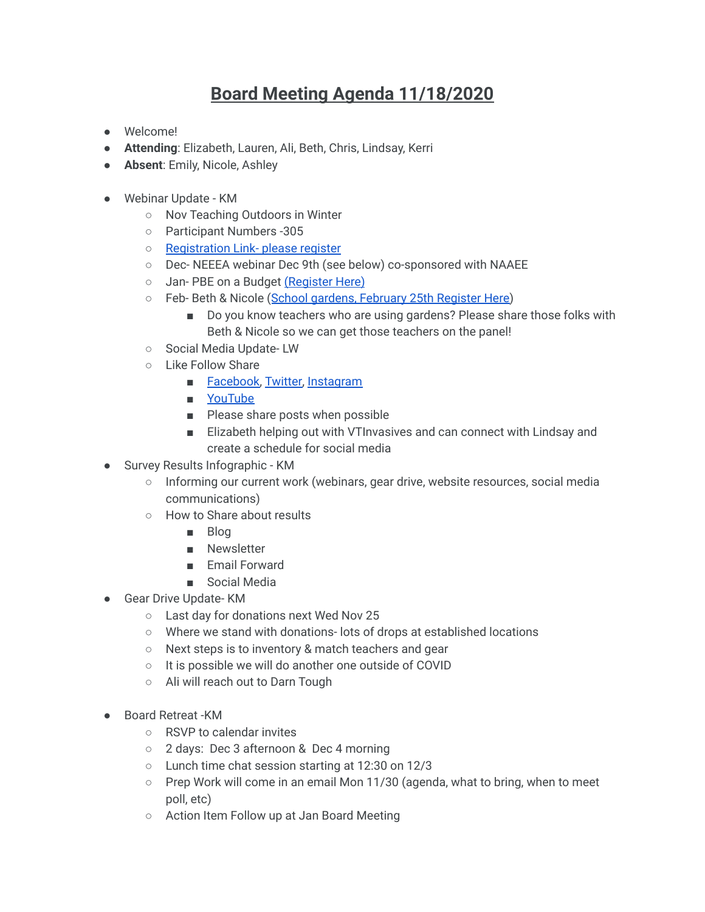## **Board Meeting Agenda 11/18/2020**

- Welcome!
- **Attending**: Elizabeth, Lauren, Ali, Beth, Chris, Lindsay, Kerri
- **Absent**: Emily, Nicole, Ashley
- Webinar Update KM
	- Nov Teaching Outdoors in Winter
	- Participant Numbers -305
	- [Registration Link- please register](https://uvmextension.zoom.us/webinar/register/WN_GhzPqh_MSwqEFNmF4SDriw?_x_zm_rtaid=iZoAenrWQhGhpzQJoFf1Jg.1604325840704.61d69130ebc1391d8259127c29c0f86e&_x_zm_rhtaid=925)
	- Dec- NEEEA webinar Dec 9th (see below) co-sponsored with NAAEE
	- Jan- PBE on a Budget [\(Register Here\)](https://us02web.zoom.us/webinar/register/WN_Aps--dD7RT2jvNI4NOVLmg)
	- Feb- Beth & Nicole ([School gardens, February 25th](https://us02web.zoom.us/webinar/register/WN_s6aZ_hJ3RCGZWjz-wjZRGg) Register Here)
		- Do you know teachers who are using gardens? Please share those folks with Beth & Nicole so we can get those teachers on the panel!
	- Social Media Update- LW
	- Like Follow Share
		- [Facebook,](https://www.facebook.com/Vermont-Education-and-Environment-Network-107403241154209) [Twitter,](https://twitter.com/home) [Instagram](https://www.instagram.com/vermonteenetwork/)
		- [YouTube](https://www.youtube.com/channel/UCvVpTs1VAP5EweDh5XlnCKg)
		- Please share posts when possible
		- Elizabeth helping out with VTInvasives and can connect with Lindsay and create a schedule for social media
- Survey Results Infographic KM
	- Informing our current work (webinars, gear drive, website resources, social media communications)
	- How to Share about results
		- Blog
		- Newsletter
		- Email Forward
		- Social Media
- Gear Drive Update- KM
	- Last day for donations next Wed Nov 25
	- Where we stand with donations- lots of drops at established locations
	- Next steps is to inventory & match teachers and gear
	- It is possible we will do another one outside of COVID
	- Ali will reach out to Darn Tough
- Board Retreat -KM
	- RSVP to calendar invites
	- 2 days: Dec 3 afternoon & Dec 4 morning
	- Lunch time chat session starting at 12:30 on 12/3
	- $\circ$  Prep Work will come in an email Mon 11/30 (agenda, what to bring, when to meet poll, etc)
	- Action Item Follow up at Jan Board Meeting